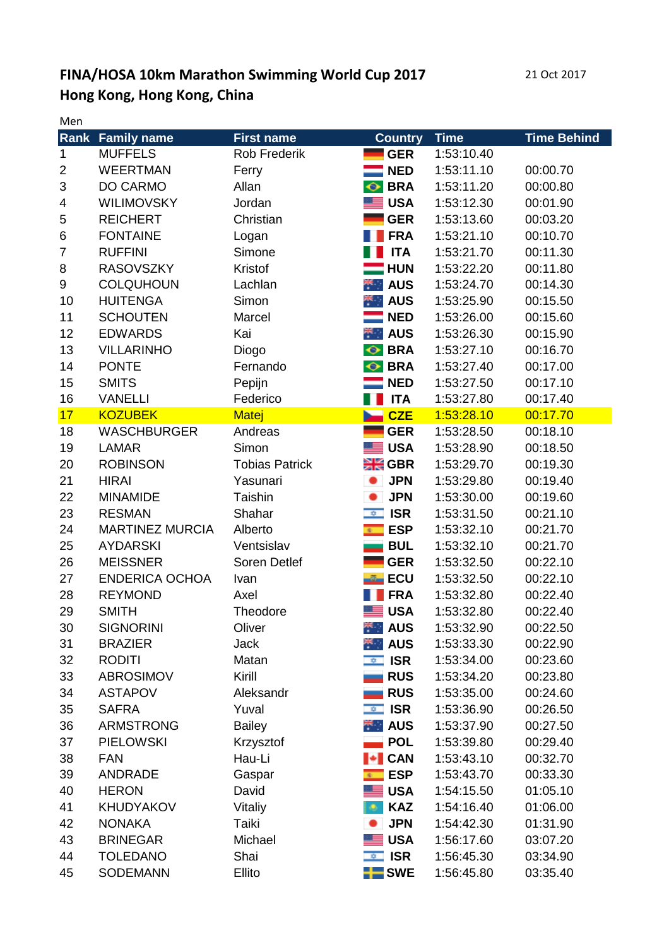## **FINA/HOSA 10km Marathon Swimming World Cup 2017** 21 Oct 2017 **Hong Kong, Hong Kong, China**

Men

|                | <b>Rank Family name</b> | <b>First name</b>     | <b>Country</b>              | <b>Time</b> | <b>Time Behind</b> |
|----------------|-------------------------|-----------------------|-----------------------------|-------------|--------------------|
| 1              | <b>MUFFELS</b>          | <b>Rob Frederik</b>   | <b>GER</b>                  | 1:53:10.40  |                    |
| $\overline{c}$ | <b>WEERTMAN</b>         | Ferry                 | <b>NED</b>                  | 1:53:11.10  | 00:00.70           |
| 3              | DO CARMO                | Allan                 | <b>BRA</b><br>$\bullet$     | 1:53:11.20  | 00:00.80           |
| 4              | <b>WILIMOVSKY</b>       | Jordan                | <b>USA</b>                  | 1:53:12.30  | 00:01.90           |
| 5              | <b>REICHERT</b>         | Christian             | <b>GER</b>                  | 1:53:13.60  | 00:03.20           |
| $\,6$          | <b>FONTAINE</b>         | Logan                 | <b>FRA</b>                  | 1:53:21.10  | 00:10.70           |
| $\overline{7}$ | <b>RUFFINI</b>          | Simone                | <b>ITA</b>                  | 1:53:21.70  | 00:11.30           |
| 8              | <b>RASOVSZKY</b>        | Kristof               | $\blacksquare$ HUN          | 1:53:22.20  | 00:11.80           |
| 9              | <b>COLQUHOUN</b>        | Lachlan               | $\mathbb{R}$ AUS            | 1:53:24.70  | 00:14.30           |
| 10             | <b>HUITENGA</b>         | Simon                 | $\star$ AUS                 | 1:53:25.90  | 00:15.50           |
| 11             | <b>SCHOUTEN</b>         | Marcel                | <b>NED</b>                  | 1:53:26.00  | 00:15.60           |
| 12             | <b>EDWARDS</b>          | Kai                   | $\blacksquare$ AUS          | 1:53:26.30  | 00:15.90           |
| 13             | <b>VILLARINHO</b>       | Diogo                 | <b>← BRA</b>                | 1:53:27.10  | 00:16.70           |
| 14             | <b>PONTE</b>            | Fernando              | <b>O</b> BRA                | 1:53:27.40  | 00:17.00           |
| 15             | <b>SMITS</b>            | Pepijn                | $\blacksquare$ NED          | 1:53:27.50  | 00:17.10           |
| 16             | <b>VANELLI</b>          | Federico              | <b>ITA</b>                  | 1:53:27.80  | 00:17.40           |
| 17             | <b>KOZUBEK</b>          | Matej                 | <b>CZE</b>                  | 1:53:28.10  | 00:17.70           |
| 18             | <b>WASCHBURGER</b>      | Andreas               | <b>GER</b>                  | 1:53:28.50  | 00:18.10           |
| 19             | <b>LAMAR</b>            | Simon                 | <b>USA</b><br>ᆖ             | 1:53:28.90  | 00:18.50           |
| 20             | <b>ROBINSON</b>         | <b>Tobias Patrick</b> | $H$ GBR                     | 1:53:29.70  | 00:19.30           |
| 21             | <b>HIRAI</b>            | Yasunari              | <b>JPN</b>                  | 1:53:29.80  | 00:19.40           |
| 22             | <b>MINAMIDE</b>         | Taishin               | <b>JPN</b>                  | 1:53:30.00  | 00:19.60           |
| 23             | <b>RESMAN</b>           | Shahar                | $\equiv$ ISR                | 1:53:31.50  | 00:21.10           |
| 24             | <b>MARTINEZ MURCIA</b>  | Alberto               | <b>ESP</b><br>$\frac{1}{2}$ | 1:53:32.10  | 00:21.70           |
| 25             | <b>AYDARSKI</b>         | Ventsislav            | <b>BUL</b>                  | 1:53:32.10  | 00:21.70           |
| 26             | <b>MEISSNER</b>         | Soren Detlef          | <b>GER</b>                  | 1:53:32.50  | 00:22.10           |
| 27             | <b>ENDERICA OCHOA</b>   | Ivan                  | <b>ECU</b>                  | 1:53:32.50  | 00:22.10           |
| 28             | <b>REYMOND</b>          | Axel                  | <b>FRA</b>                  | 1:53:32.80  | 00:22.40           |
| 29             | <b>SMITH</b>            | Theodore              | <b>USA</b><br>ᆞ             | 1:53:32.80  | 00:22.40           |
| 30             | <b>SIGNORINI</b>        | Oliver                | $\star$ AUS                 | 1:53:32.90  | 00:22.50           |
| 31             | <b>BRAZIER</b>          | Jack                  | $\star$ AUS                 | 1:53:33.30  | 00:22.90           |
| 32             | <b>RODITI</b>           | Matan                 | $\sqrt{2}$ ISR              | 1:53:34.00  | 00:23.60           |
| 33             | <b>ABROSIMOV</b>        | Kirill                | <b>RUS</b>                  | 1:53:34.20  | 00:23.80           |
| 34             | <b>ASTAPOV</b>          | Aleksandr             | <b>RUS</b>                  | 1:53:35.00  | 00:24.60           |
| 35             | <b>SAFRA</b>            | Yuval                 | $\overline{2}$ ISR          | 1:53:36.90  | 00:26.50           |
| 36             | <b>ARMSTRONG</b>        | <b>Bailey</b>         | $\star$ AUS                 | 1:53:37.90  | 00:27.50           |
| 37             | <b>PIELOWSKI</b>        | Krzysztof             | <b>POL</b>                  | 1:53:39.80  | 00:29.40           |
| 38             | <b>FAN</b>              | Hau-Li                | $\blacktriangleright$ CAN   | 1:53:43.10  | 00:32.70           |
| 39             | <b>ANDRADE</b>          | Gaspar                | $\bullet$ ESP               | 1:53:43.70  | 00:33.30           |
| 40             | <b>HERON</b>            | David                 | $\equiv$ USA                | 1:54:15.50  | 01:05.10           |
| 41             | <b>KHUDYAKOV</b>        | Vitaliy               | <b>KAZ</b><br>٠             | 1:54:16.40  | 01:06.00           |
| 42             | <b>NONAKA</b>           | Taiki                 | <b>JPN</b>                  | 1:54:42.30  | 01:31.90           |
| 43             | <b>BRINEGAR</b>         | Michael               | <b>USA</b>                  | 1:56:17.60  | 03:07.20           |
| 44             | <b>TOLEDANO</b>         | Shai                  | $\equiv$ ISR                | 1:56:45.30  | 03:34.90           |
| 45             | <b>SODEMANN</b>         | Ellito                | $\blacksquare$ SWE          | 1:56:45.80  | 03:35.40           |
|                |                         |                       |                             |             |                    |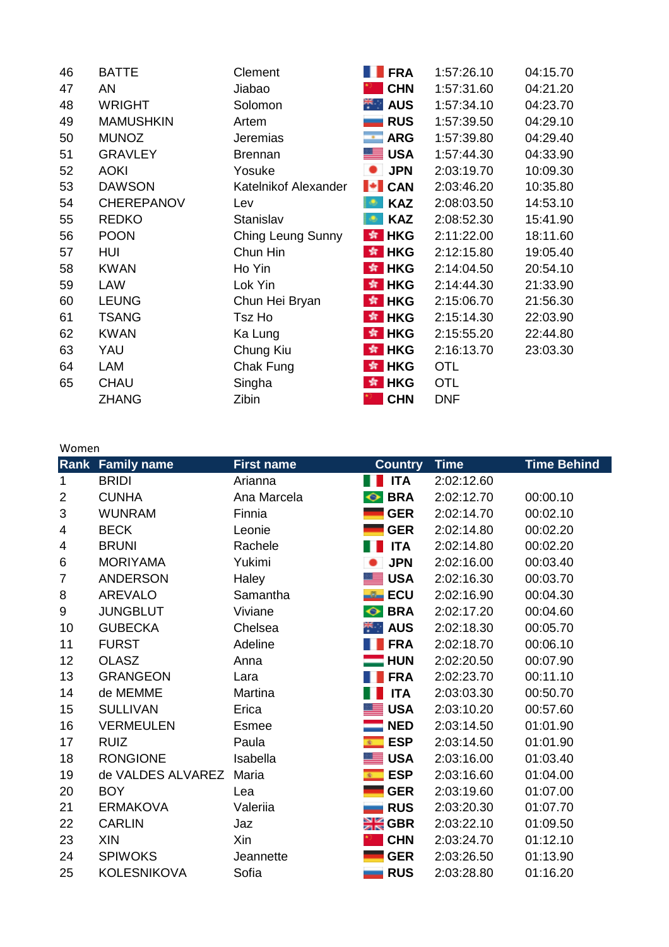| 46 | <b>BATTE</b>      | Clement              | <b>FRA</b>         | 1:57:26.10 | 04:15.70 |
|----|-------------------|----------------------|--------------------|------------|----------|
| 47 | AN                | Jiabao               | <b>CHN</b>         | 1:57:31.60 | 04:21.20 |
| 48 | <b>WRIGHT</b>     | Solomon              | $\star$ AUS        | 1:57:34.10 | 04:23.70 |
| 49 | <b>MAMUSHKIN</b>  | Artem                | <b>RUS</b>         | 1:57:39.50 | 04:29.10 |
| 50 | <b>MUNOZ</b>      | <b>Jeremias</b>      | $\blacksquare$ ARG | 1:57:39.80 | 04:29.40 |
| 51 | <b>GRAVLEY</b>    | <b>Brennan</b>       | <b>SALL</b>        | 1:57:44.30 | 04:33.90 |
| 52 | <b>AOKI</b>       | Yosuke               | <b>JPN</b>         | 2:03:19.70 | 10:09.30 |
| 53 | <b>DAWSON</b>     | Katelnikof Alexander | $\ \cdot\ $ CAN    | 2:03:46.20 | 10:35.80 |
| 54 | <b>CHEREPANOV</b> | Lev                  | <b>KAZ</b><br>l O  | 2:08:03.50 | 14:53.10 |
| 55 | <b>REDKO</b>      | Stanislav            | <b>KAZ</b><br>l O  | 2:08:52.30 | 15:41.90 |
| 56 | <b>POON</b>       | Ching Leung Sunny    | $\star$ HKG        | 2:11:22.00 | 18:11.60 |
| 57 | HUI               | Chun Hin             | $\frac{1}{2}$ HKG  | 2:12:15.80 | 19:05.40 |
| 58 | <b>KWAN</b>       | Ho Yin               | $*$ HKG            | 2:14:04.50 | 20:54.10 |
| 59 | <b>LAW</b>        | Lok Yin              | $\frac{1}{2}$ HKG  | 2:14:44.30 | 21:33.90 |
| 60 | <b>LEUNG</b>      | Chun Hei Bryan       | $*$ HKG            | 2:15:06.70 | 21:56.30 |
| 61 | <b>TSANG</b>      | Tsz Ho               | $*$ HKG            | 2:15:14.30 | 22:03.90 |
| 62 | <b>KWAN</b>       | Ka Lung              | $*$ HKG            | 2:15:55.20 | 22:44.80 |
| 63 | YAU               | Chung Kiu            | $*$ HKG            | 2:16:13.70 | 23:03.30 |
| 64 | LAM               | Chak Fung            | $\star$ HKG        | <b>OTL</b> |          |
| 65 | <b>CHAU</b>       | Singha               | $\frac{1}{2}$ HKG  | <b>OTL</b> |          |
|    | <b>ZHANG</b>      | Zibin                | <b>CHN</b>         | <b>DNF</b> |          |
|    |                   |                      |                    |            |          |

## Women

| <u>vvuiicii</u> |                         |                   |                         |             |                    |
|-----------------|-------------------------|-------------------|-------------------------|-------------|--------------------|
|                 | <b>Rank Family name</b> | <b>First name</b> | <b>Country</b>          | <b>Time</b> | <b>Time Behind</b> |
| 1               | <b>BRIDI</b>            | Arianna           | <b>ITA</b>              | 2:02:12.60  |                    |
| $\overline{2}$  | <b>CUNHA</b>            | Ana Marcela       | <b>BRA</b><br>◦         | 2:02:12.70  | 00:00.10           |
| 3               | <b>WUNRAM</b>           | Finnia            | <b>GER</b>              | 2:02:14.70  | 00:02.10           |
| 4               | <b>BECK</b>             | Leonie            | <b>GER</b>              | 2:02:14.80  | 00:02.20           |
| 4               | <b>BRUNI</b>            | Rachele           | <b>ITA</b>              | 2:02:14.80  | 00:02.20           |
| 6               | <b>MORIYAMA</b>         | Yukimi            | <b>JPN</b>              | 2:02:16.00  | 00:03.40           |
| $\overline{7}$  | <b>ANDERSON</b>         | Haley             | <b>USA</b>              | 2:02:16.30  | 00:03.70           |
| 8               | <b>AREVALO</b>          | Samantha          | <b>ECU</b>              | 2:02:16.90  | 00:04.30           |
| 9               | <b>JUNGBLUT</b>         | Viviane           | <b>BRA</b><br>$\bullet$ | 2:02:17.20  | 00:04.60           |
| 10              | <b>GUBECKA</b>          | Chelsea           | $\star$ AUS             | 2:02:18.30  | 00:05.70           |
| 11              | <b>FURST</b>            | Adeline           | <b>FRA</b>              | 2:02:18.70  | 00:06.10           |
| 12              | <b>OLASZ</b>            | Anna              | $\blacksquare$ HUN      | 2:02:20.50  | 00:07.90           |
| 13              | <b>GRANGEON</b>         | Lara              | <b>FRA</b>              | 2:02:23.70  | 00:11.10           |
| 14              | de MEMME                | Martina           | <b>ITA</b>              | 2:03:03.30  | 00:50.70           |
| 15              | <b>SULLIVAN</b>         | Erica             | <b>USA</b>              | 2:03:10.20  | 00:57.60           |
| 16              | <b>VERMEULEN</b>        | <b>Esmee</b>      | <b>NED</b>              | 2:03:14.50  | 01:01.90           |
| 17              | <b>RUIZ</b>             | Paula             | <b>ESP</b>              | 2:03:14.50  | 01:01.90           |
| 18              | <b>RONGIONE</b>         | Isabella          | <b>USA</b>              | 2:03:16.00  | 01:03.40           |
| 19              | de VALDES ALVAREZ       | Maria             | <b>ESP</b>              | 2:03:16.60  | 01:04.00           |
| 20              | <b>BOY</b>              | Lea               | <b>GER</b>              | 2:03:19.60  | 01:07.00           |
| 21              | <b>ERMAKOVA</b>         | Valeriia          | <b>RUS</b>              | 2:03:20.30  | 01:07.70           |
| 22              | <b>CARLIN</b>           | Jaz               | $\frac{316}{216}$ GBR   | 2:03:22.10  | 01:09.50           |
| 23              | XIN                     | Xin               | <b>CHN</b>              | 2:03:24.70  | 01:12.10           |
| 24              | <b>SPIWOKS</b>          | Jeannette         | <b>GER</b>              | 2:03:26.50  | 01:13.90           |
| 25              | <b>KOLESNIKOVA</b>      | Sofia             | <b>RUS</b>              | 2:03:28.80  | 01:16.20           |